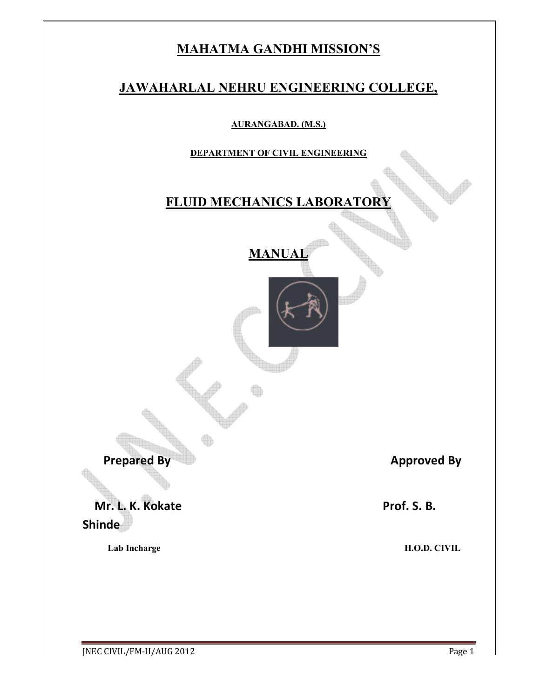# **MAHATMA GANDHI MISSION'S**

# **JAWAHARLAL NEHRU ENGINEERING COLLEGE,**

**AURANGABAD. (M.S.)**

**DEPARTMENT OF CIVIL ENGINEERING**

# **FLUID MECHANICS LABORATOR**

**MANUAL**



**Prepared By Approved By Approved By** 

**Mr. L. K. Kokate** Prof. S. B.

**Shinde** 

 **Lab Incharge H.O.D. CIVIL**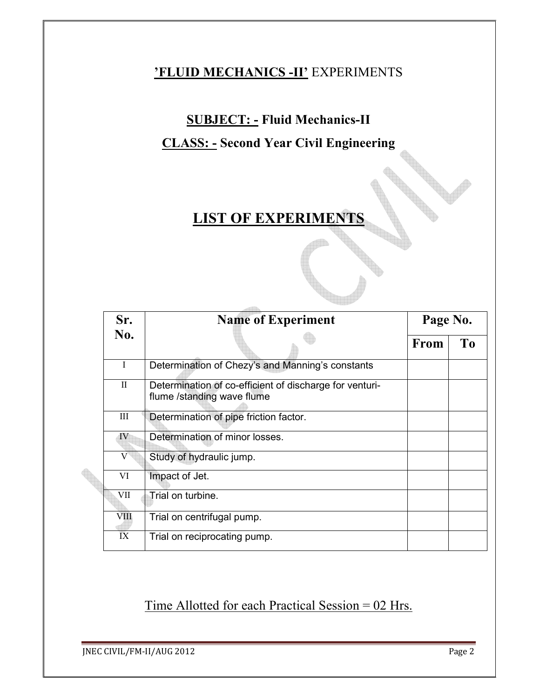# **'FLUID MECHANICS -II'** EXPERIMENTS

# **SUBJECT: - Fluid Mechanics-II**

# **CLASS: - Second Year Civil Engineering**

# **LIST OF EXPERIMENTS**

| Sr.                    | <b>Name of Experiment</b>                                                             | Page No. |                |
|------------------------|---------------------------------------------------------------------------------------|----------|----------------|
| No.                    |                                                                                       | From     | T <sub>0</sub> |
| I                      | Determination of Chezy's and Manning's constants                                      |          |                |
| $\mathbf{I}$           | Determination of co-efficient of discharge for venturi-<br>flume /standing wave flume |          |                |
| Ш                      | Determination of pipe friction factor.                                                |          |                |
| IV                     | Determination of minor losses.                                                        |          |                |
| V                      | Study of hydraulic jump.                                                              |          |                |
| VI                     | Impact of Jet.                                                                        |          |                |
| VII                    | Trial on turbine.                                                                     |          |                |
| VIII                   | Trial on centrifugal pump.                                                            |          |                |
| $\overline{\text{IX}}$ | Trial on reciprocating pump.                                                          |          |                |

Time Allotted for each Practical Session = 02 Hrs.

**JNEC CIVIL/FM-II/AUG 2012** Page 2

**Architecture**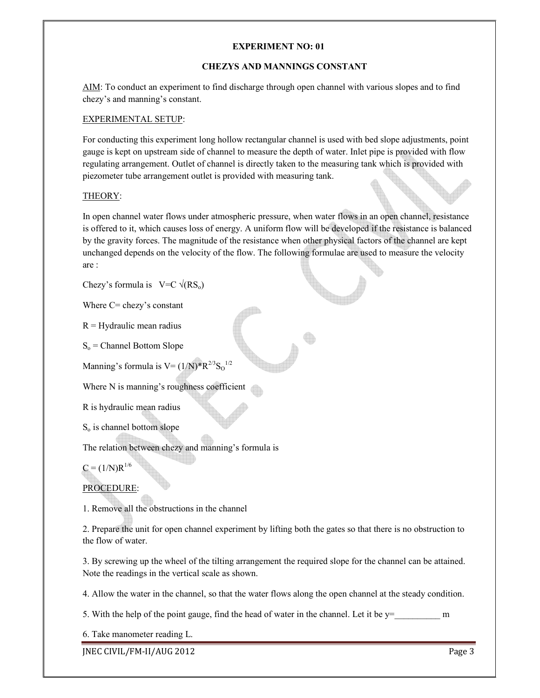#### **CHEZYS AND MANNINGS CONSTANT**

AIM: To conduct an experiment to find discharge through open channel with various slopes and to find chezy's and manning's constant.

#### EXPERIMENTAL SETUP:

For conducting this experiment long hollow rectangular channel is used with bed slope adjustments, point gauge is kept on upstream side of channel to measure the depth of water. Inlet pipe is provided with flow regulating arrangement. Outlet of channel is directly taken to the measuring tank which is provided with piezometer tube arrangement outlet is provided with measuring tank.

#### THEORY:

In open channel water flows under atmospheric pressure, when water flows in an open channel, resistance is offered to it, which causes loss of energy. A uniform flow will be developed if the resistance is balanced by the gravity forces. The magnitude of the resistance when other physical factors of the channel are kept unchanged depends on the velocity of the flow. The following formulae are used to measure the velocity are :

Chezy's formula is  $V=C \sqrt{(RS_0)}$ 

Where C= chezy's constant

 $R = Hyd$ raulic mean radius

 $S<sub>o</sub>$  = Channel Bottom Slope

Manning's formula is  $V = (1/N)^*R^{2/3}S_0^{1/2}$ 

Where N is manning's roughness coefficient

R is hydraulic mean radius

 $S<sub>o</sub>$  is channel bottom slope

The relation between chezy and manning's formula is

 $C = (1/N)R^{1/6}$ 

# PROCEDURE:

1. Remove all the obstructions in the channel

2. Prepare the unit for open channel experiment by lifting both the gates so that there is no obstruction to the flow of water.

3. By screwing up the wheel of the tilting arrangement the required slope for the channel can be attained. Note the readings in the vertical scale as shown.

4. Allow the water in the channel, so that the water flows along the open channel at the steady condition.

5. With the help of the point gauge, find the head of water in the channel. Let it be  $y =$ \_\_\_\_\_\_\_\_\_\_\_\_\_\_\_ m

6. Take manometer reading L.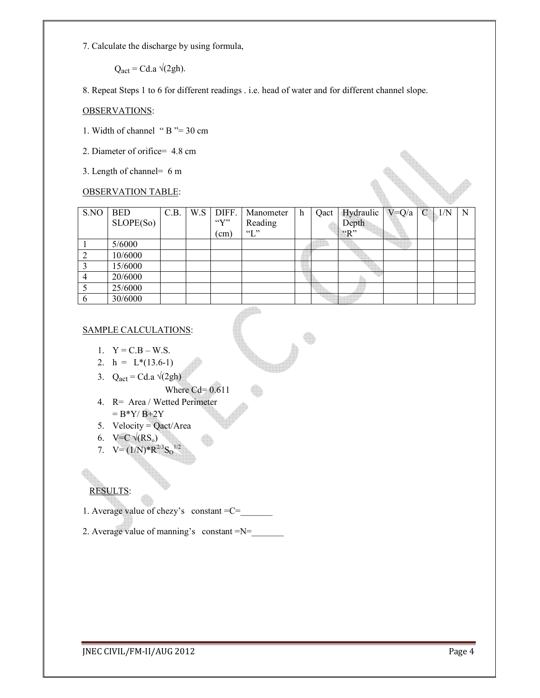7. Calculate the discharge by using formula,

 $Q_{\text{act}} = Cd.a \sqrt{(2gh)}$ .

8. Repeat Steps 1 to 6 for different readings . i.e. head of water and for different channel slope.

#### OBSERVATIONS:

- 1. Width of channel " B "= 30 cm
- 2. Diameter of orifice= 4.8 cm
- 3. Length of channel= 6 m

# OBSERVATION TABLE:

|                           | 3. Length of channel= 6 m |      |     |                           |               |   |      |           |           |   |     |   |
|---------------------------|---------------------------|------|-----|---------------------------|---------------|---|------|-----------|-----------|---|-----|---|
| <b>OBSERVATION TABLE:</b> |                           |      |     |                           |               |   |      |           |           |   |     |   |
| S.NO                      | <b>BED</b>                | C.B. | W.S | DIFF.                     | Manometer     | h | Qact | Hydraulic | $V = Q/a$ | C | 1/N | N |
|                           | SLOPE(So)                 |      |     | $\mathcal{C}(\mathbf{V})$ | Reading       |   |      | Depth     |           |   |     |   |
|                           |                           |      |     | $\text{cm)}$              | $\mathcal{L}$ |   |      | "R"       |           |   |     |   |
|                           | 5/6000                    |      |     |                           |               |   |      |           |           |   |     |   |
| 2                         | 10/6000                   |      |     |                           |               |   |      |           |           |   |     |   |
| $\overline{3}$            | 15/6000                   |      |     |                           |               |   |      |           |           |   |     |   |
| $\overline{4}$            | 20/6000                   |      |     |                           |               |   |      |           |           |   |     |   |
| 5                         | 25/6000                   |      |     |                           |               |   |      |           |           |   |     |   |
| 6                         | 30/6000                   |      |     |                           |               |   |      |           |           |   |     |   |

#### SAMPLE CALCULATIONS:

- 1.  $Y = C.B W.S.$
- 2.  $h = L*(13.6-1)$
- 3. Q<sub>act</sub> = Cd.a  $\sqrt{2gh}$ 
	- Where Cd= 0.611

O

- 4. R= Area / Wetted Perimeter  $= B^*Y/B + 2Y$
- 5. Velocity =  $Qact/Area$
- 6. V=C  $\sqrt{(RS_0)}$
- 7.  $V = (1/N)^* R^{2/3} S_0^{1/2}$

# RESULTS:

- 1. Average value of chezy's constant =C=\_\_\_\_\_\_\_
- 2. Average value of manning's constant  $=N=$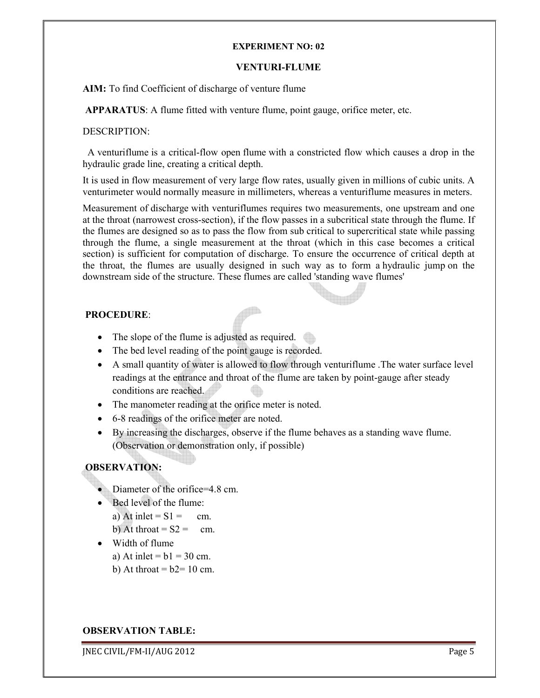#### **VENTURI-FLUME**

**AIM:** To find Coefficient of discharge of venture flume

 **APPARATUS**: A flume fitted with venture flume, point gauge, orifice meter, etc.

#### DESCRIPTION:

 A venturiflume is a critical-flow open flume with a constricted flow which causes a drop in the hydraulic grade line, creating a critical depth.

It is used in flow measurement of very large flow rates, usually given in millions of cubic units. A venturimeter would normally measure in millimeters, whereas a venturiflume measures in meters.

Measurement of discharge with venturiflumes requires two measurements, one upstream and one at the throat (narrowest cross-section), if the flow passes in a subcritical state through the flume. If the flumes are designed so as to pass the flow from sub critical to supercritical state while passing through the flume, a single measurement at the throat (which in this case becomes a critical section) is sufficient for computation of discharge. To ensure the occurrence of critical depth at the throat, the flumes are usually designed in such way as to form a hydraulic jump on the downstream side of the structure. These flumes are called 'standing wave flumes'

# **PROCEDURE**:

- The slope of the flume is adjusted as required.
- The bed level reading of the point gauge is recorded.
- A small quantity of water is allowed to flow through venturiflume .The water surface level readings at the entrance and throat of the flume are taken by point-gauge after steady conditions are reached.
- The manometer reading at the orifice meter is noted.
- 6-8 readings of the orifice meter are noted.
- By increasing the discharges, observe if the flume behaves as a standing wave flume. (Observation or demonstration only, if possible)

# **OBSERVATION:**

- Diameter of the orifice=4.8 cm.
- Bed level of the flume: a) At inlet =  $S1 = cm$ .
	- b) At throat =  $S2 = cm$ .
- Width of flume
	- a) At inlet  $= b1 = 30$  cm.
	- b) At throat  $= b2 = 10$  cm.

#### **OBSERVATION TABLE:**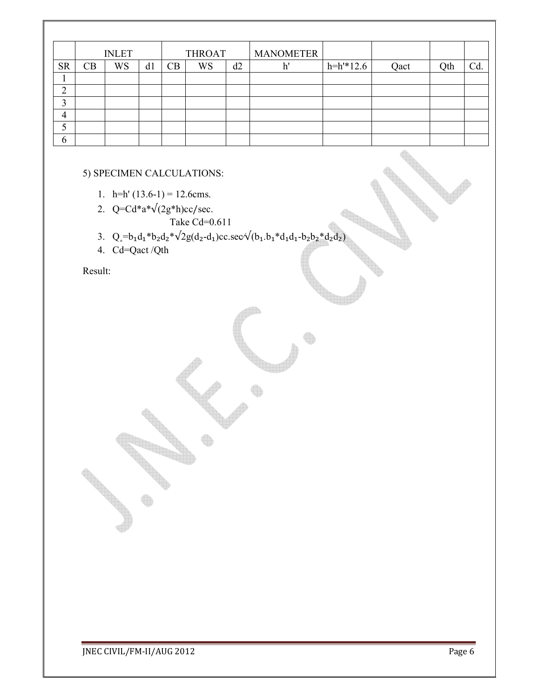|                | <b>INLET</b> |           | <b>THROAT</b> |    | <b>MANOMETER</b> |    |    |             |      |     |     |
|----------------|--------------|-----------|---------------|----|------------------|----|----|-------------|------|-----|-----|
| <b>SR</b>      | CB           | <b>WS</b> | d1            | CB | WS               | d2 | h' | $h=h'*12.6$ | Qact | Qth | Cd. |
| ı              |              |           |               |    |                  |    |    |             |      |     |     |
| $\overline{2}$ |              |           |               |    |                  |    |    |             |      |     |     |
| 3              |              |           |               |    |                  |    |    |             |      |     |     |
| 4              |              |           |               |    |                  |    |    |             |      |     |     |
| 5              |              |           |               |    |                  |    |    |             |      |     |     |
| 6              |              |           |               |    |                  |    |    |             |      |     |     |

#### 5) SPECIMEN CALCULATIONS:

- 1. h=h'  $(13.6-1) = 12.6$ cms.
- 2.  $Q=Cd*a*\sqrt{(2g*h)cc/sec}$ . Take  $Cd = 0.611$
- 3.  $Q_e = b_1 d_1 * b_2 d_2 * \sqrt{2g(d_2 d_1)c}$ c.sec $\sqrt{(b_1 \cdot b_1 * d_1 d_1 b_2 b_2 * d_2 d_2)}$
- 4. Cd=Qact /Qth

Result: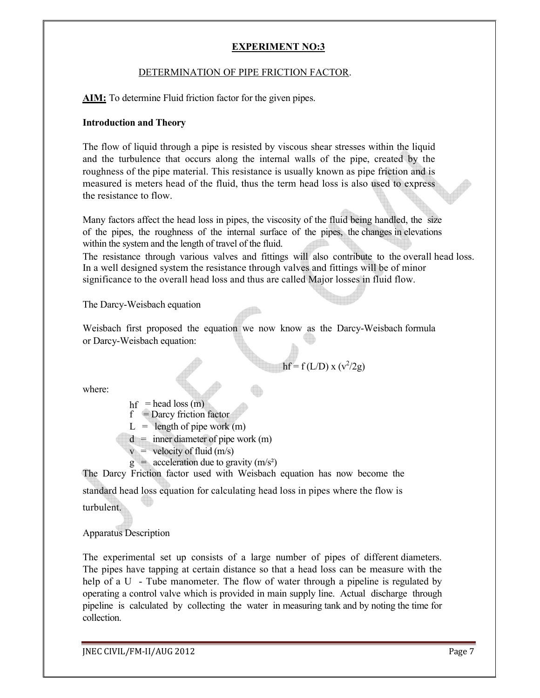# DETERMINATION OF PIPE FRICTION FACTOR.

**AIM:** To determine Fluid friction factor for the given pipes.

#### **Introduction and Theory**

The flow of liquid through a pipe is resisted by viscous shear stresses within the liquid and the turbulence that occurs along the internal walls of the pipe, created by the roughness of the pipe material. This resistance is usually known as pipe friction and is measured is meters head of the fluid, thus the term head loss is also used to express the resistance to flow.

Many factors affect the head loss in pipes, the viscosity of the fluid being handled, the size of the pipes, the roughness of the internal surface of the pipes, the changes in elevations within the system and the length of travel of the fluid.

The resistance through various valves and fittings will also contribute to the overall head loss. In a well designed system the resistance through valves and fittings will be of minor significance to the overall head loss and thus are called Major losses in fluid flow.

The Darcy-Weisbach equation

Weisbach first proposed the equation we now know as the Darcy-Weisbach formula or Darcy-Weisbach equation:

 $hf = f(L/D) x (v^2/2g)$ 

where:

 $hf$  = head loss (m)  $f =$ Darcy friction factor  $L =$  length of pipe work (m)

 $d =$  inner diameter of pipe work (m)

 $v =$  velocity of fluid (m/s)

 $g = \text{acceleration due to gravity (m/s<sup>2</sup>)}$ 

The Darcy Friction factor used with Weisbach equation has now become the standard head loss equation for calculating head loss in pipes where the flow is

turbulent.

Apparatus Description

The experimental set up consists of a large number of pipes of different diameters. The pipes have tapping at certain distance so that a head loss can be measure with the help of a U - Tube manometer. The flow of water through a pipeline is regulated by operating a control valve which is provided in main supply line. Actual discharge through pipeline is calculated by collecting the water in measuring tank and by noting the time for collection.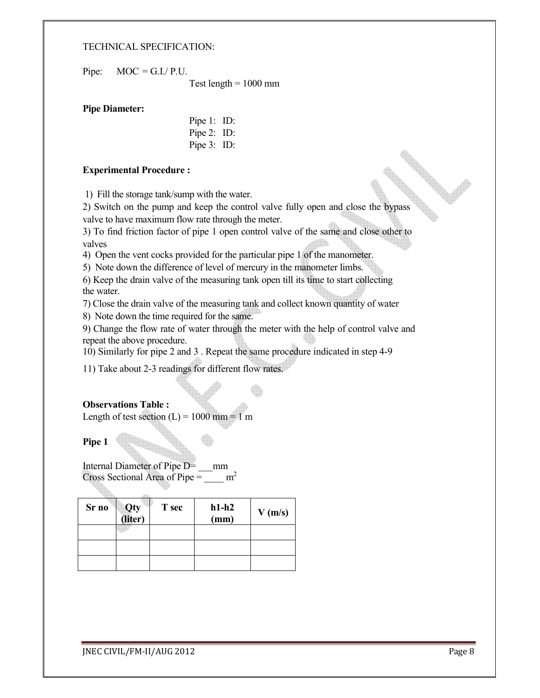#### TECHNICAL SPECIFICATION:

Pipe:  $MOC = G.I.P.U.$ 

Test length  $= 1000$  mm

#### **Pipe Diameter:**

Pipe 1: ID: Pipe 2: ID: Pipe 3: ID:

#### **Experimental Procedure :**

1) Fill the storage tank/sump with the water.

2) Switch on the pump and keep the control valve fully open and close the bypass valve to have maximum flow rate through the meter.

3) To find friction factor of pipe 1 open control valve of the same and close other to valves

4) Open the vent cocks provided for the particular pipe 1 of the manometer.

5) Note down the difference of level of mercury in the manometer limbs.

6) Keep the drain valve of the measuring tank open till its time to start collecting the water.

7) Close the drain valve of the measuring tank and collect known quantity of water

8) Note down the time required for the same.

9) Change the flow rate of water through the meter with the help of control valve and repeat the above procedure.

10) Similarly for pipe 2 and 3 . Repeat the same procedure indicated in step 4-9

11) Take about 2-3 readings for different flow rates.

#### **Observations Table :**

Length of test section  $(L) = 1000$  mm = 1 m

**Pipe 1** 

Internal Diameter of Pipe D= \_\_\_mm Cross Sectional Area of Pipe =  $\mu^2$ 

| Sr no | Qty<br>(liter) | T sec | $h1-h2$<br>(mm) | V(m/s) |
|-------|----------------|-------|-----------------|--------|
|       |                |       |                 |        |
|       |                |       |                 |        |
|       |                |       |                 |        |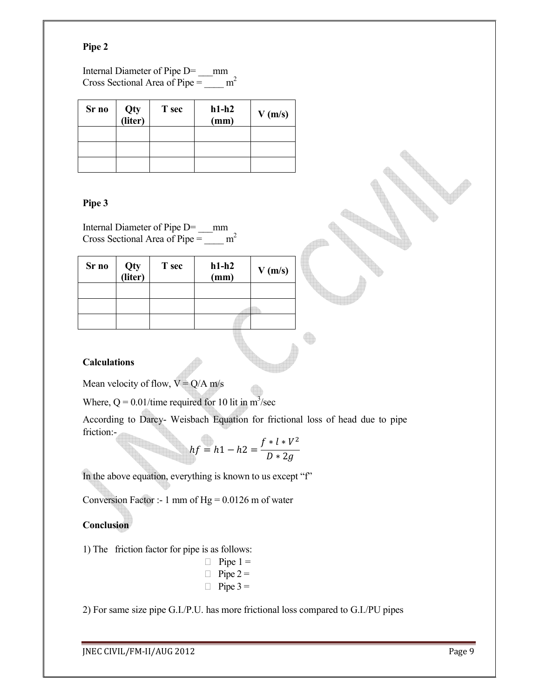### **Pipe 2**

Internal Diameter of Pipe D= \_\_\_mm Cross Sectional Area of Pipe =  $\frac{m^2}{2}$ 

| Sr no | Qty<br>(liter) | T sec | $h1-h2$<br>(mm) | $V$ (m/s) |
|-------|----------------|-------|-----------------|-----------|
|       |                |       |                 |           |
|       |                |       |                 |           |
|       |                |       |                 |           |

### **Pipe 3**

Internal Diameter of Pipe D= \_\_\_mm Cross Sectional Area of Pipe =  $\frac{m^2}{2}$ 

| Sr no | Qty<br>(liter) | T sec | $h1-h2$<br>(mm) | V(m/s) |
|-------|----------------|-------|-----------------|--------|
|       |                |       |                 |        |
|       |                |       |                 |        |
|       |                |       |                 |        |

#### **Calculations**

Mean velocity of flow,  $V = Q/A$  m/s

Where,  $Q = 0.01$ /time required for 10 lit in m<sup>3</sup>/sec

According to Darcy- Weisbach Equation for frictional loss of head due to pipe friction:-

$$
hf = h1 - h2 = \frac{f * l * V^2}{D * 2g}
$$

In the above equation, everything is known to us except "f"

Conversion Factor :- 1 mm of  $Hg = 0.0126$  m of water

# **Conclusion**

1) The friction factor for pipe is as follows:

 $\Box$  Pipe 1 =  $\Box$  Pipe 2 =  $\Box$  Pipe 3 =

2) For same size pipe G.I./P.U. has more frictional loss compared to G.I./PU pipes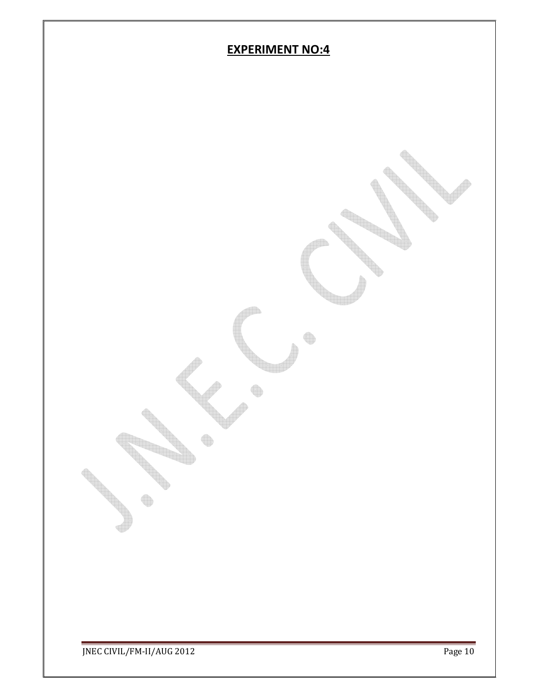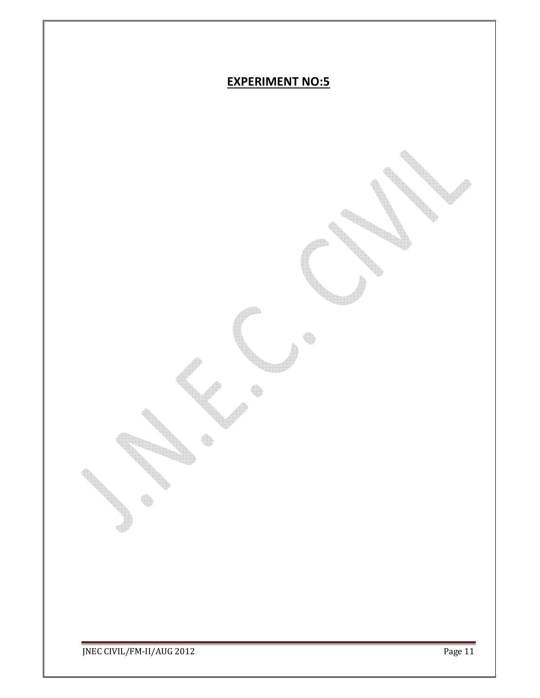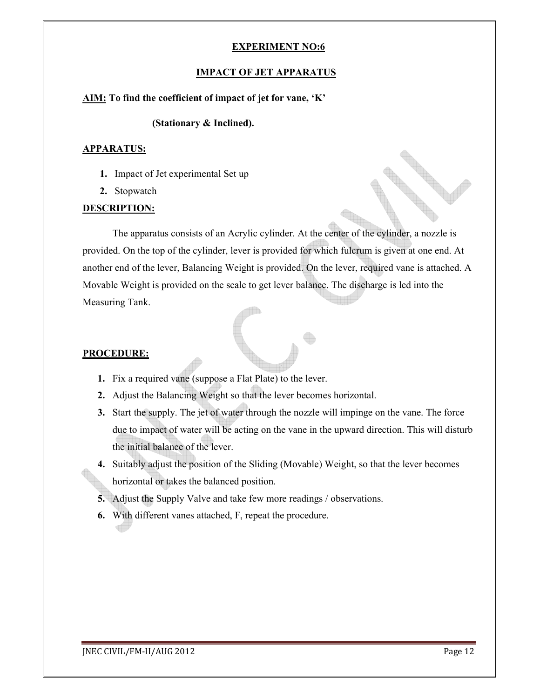#### **IMPACT OF JET APPARATUS**

#### **AIM: To find the coefficient of impact of jet for vane, 'K'**

#### **(Stationary & Inclined).**

#### **APPARATUS:**

- **1.** Impact of Jet experimental Set up
- **2.** Stopwatch

# **DESCRIPTION:**

 The apparatus consists of an Acrylic cylinder. At the center of the cylinder, a nozzle is provided. On the top of the cylinder, lever is provided for which fulcrum is given at one end. At another end of the lever, Balancing Weight is provided. On the lever, required vane is attached. A Movable Weight is provided on the scale to get lever balance. The discharge is led into the Measuring Tank.

# **PROCEDURE:**

- **1.** Fix a required vane (suppose a Flat Plate) to the lever.
- **2.** Adjust the Balancing Weight so that the lever becomes horizontal.
- **3.** Start the supply. The jet of water through the nozzle will impinge on the vane. The force due to impact of water will be acting on the vane in the upward direction. This will disturb the initial balance of the lever.
- **4.** Suitably adjust the position of the Sliding (Movable) Weight, so that the lever becomes horizontal or takes the balanced position.
- **5.** Adjust the Supply Valve and take few more readings / observations.
- **6.** With different vanes attached, F, repeat the procedure.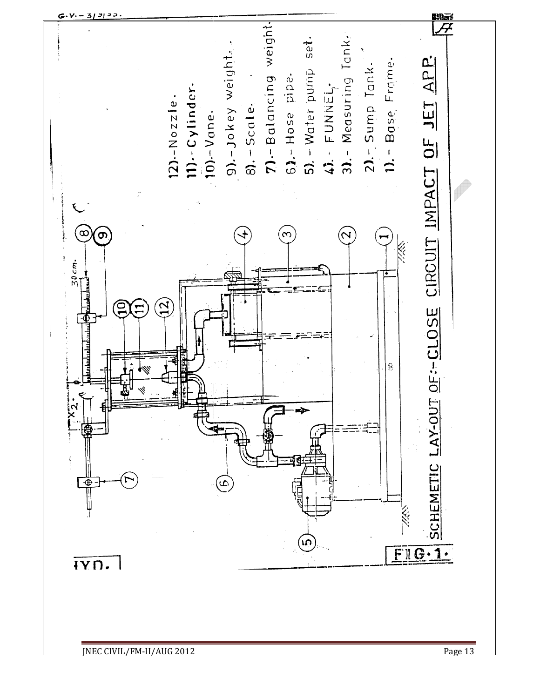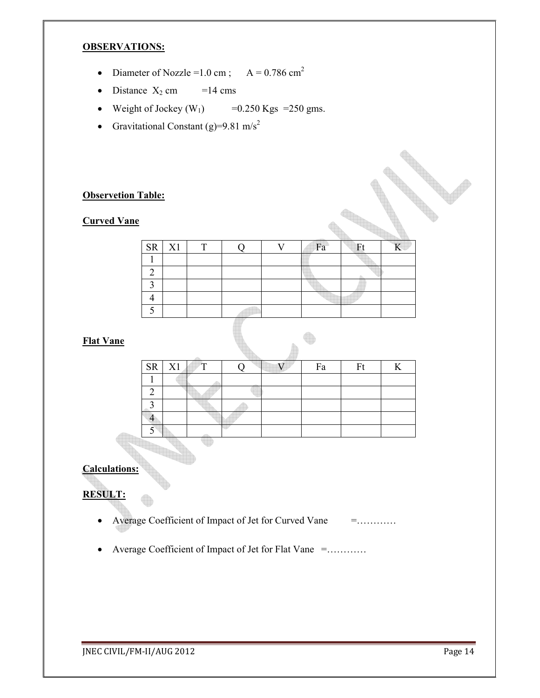# **OBSERVATIONS:**

- Diameter of Nozzle =  $1.0 \text{ cm}$ ;  $A = 0.786 \text{ cm}^2$
- Distance  $X_2$  cm =14 cms
- Weight of Jockey  $(W_1)$  =0.250 Kgs =250 gms.
- Gravitational Constant (g)=9.81 m/s<sup>2</sup>

# **Observetion Table:**

# **Curved Vane**

| $SR$ $X1$ | ௱ |  | Fa | Ft |  |
|-----------|---|--|----|----|--|
|           |   |  |    |    |  |
|           |   |  |    |    |  |
|           |   |  |    |    |  |
|           |   |  |    |    |  |
|           |   |  |    |    |  |
|           |   |  |    |    |  |

# **Flat Vane**

| SR X1 | $\mathbb{F}^{\mathsf{T}}$ |  | Fa | Ft |  |
|-------|---------------------------|--|----|----|--|
|       |                           |  |    |    |  |
|       |                           |  |    |    |  |
|       |                           |  |    |    |  |
|       |                           |  |    |    |  |
|       |                           |  |    |    |  |
|       |                           |  |    |    |  |

# **Calculations:**

# **RESULT:**

- Average Coefficient of Impact of Jet for Curved Vane = ...........
- Average Coefficient of Impact of Jet for Flat Vane =…………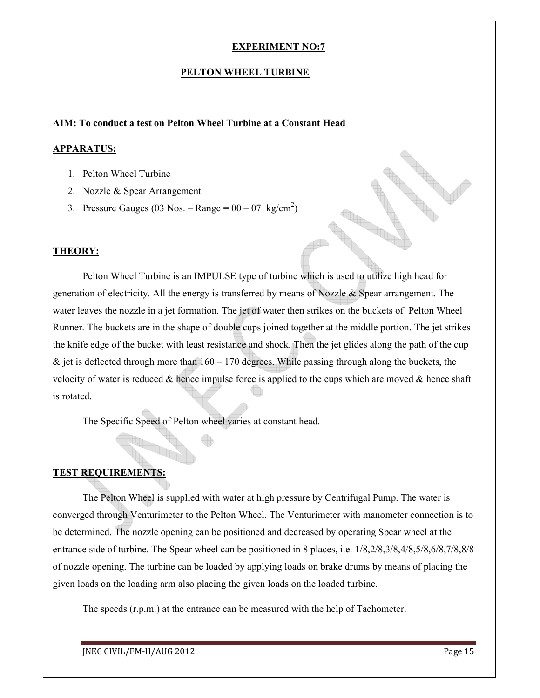#### **PELTON WHEEL TURBINE**

#### **AIM: To conduct a test on Pelton Wheel Turbine at a Constant Head**

#### **APPARATUS:**

- 1. Pelton Wheel Turbine
- 2. Nozzle & Spear Arrangement
- 3. Pressure Gauges (03 Nos. Range =  $00 07 \text{ kg/cm}^2$ )

#### **THEORY:**

Pelton Wheel Turbine is an IMPULSE type of turbine which is used to utilize high head for generation of electricity. All the energy is transferred by means of Nozzle & Spear arrangement. The water leaves the nozzle in a jet formation. The jet of water then strikes on the buckets of Pelton Wheel Runner. The buckets are in the shape of double cups joined together at the middle portion. The jet strikes the knife edge of the bucket with least resistance and shock. Then the jet glides along the path of the cup  $\&$  jet is deflected through more than  $160 - 170$  degrees. While passing through along the buckets, the velocity of water is reduced  $\&$  hence impulse force is applied to the cups which are moved  $\&$  hence shaft is rotated.

The Specific Speed of Pelton wheel varies at constant head.

#### **TEST REQUIREMENTS:**

 The Pelton Wheel is supplied with water at high pressure by Centrifugal Pump. The water is converged through Venturimeter to the Pelton Wheel. The Venturimeter with manometer connection is to be determined. The nozzle opening can be positioned and decreased by operating Spear wheel at the entrance side of turbine. The Spear wheel can be positioned in 8 places, i.e. 1/8,2/8,3/8,4/8,5/8,6/8,7/8,8/8 of nozzle opening. The turbine can be loaded by applying loads on brake drums by means of placing the given loads on the loading arm also placing the given loads on the loaded turbine.

The speeds (r.p.m.) at the entrance can be measured with the help of Tachometer.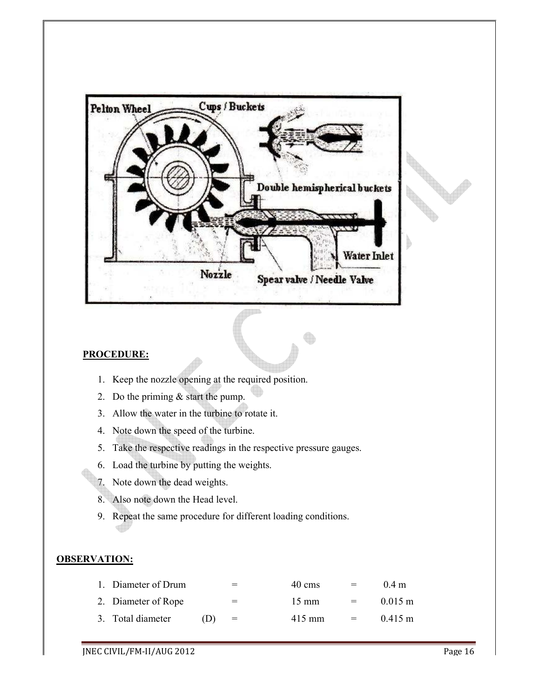

# **PROCEDURE:**

- 1. Keep the nozzle opening at the required position.
- 2. Do the priming & start the pump.
- 3. Allow the water in the turbine to rotate it.
- 4. Note down the speed of the turbine.
- 5. Take the respective readings in the respective pressure gauges.
- 6. Load the turbine by putting the weights.
- 7. Note down the dead weights.
- 8. Also note down the Head level.
- 9. Repeat the same procedure for different loading conditions.

# **OBSERVATION:**

| 1. Diameter of Drum |     | $=$ | 40 cms          |     | $0.4$ m           |
|---------------------|-----|-----|-----------------|-----|-------------------|
| 2. Diameter of Rope |     | $=$ | $15 \text{ mm}$ | $=$ | $0.015 \text{ m}$ |
| 3. Total diameter   | (1) | $=$ | $415$ mm        | $=$ | $0.415 \text{ m}$ |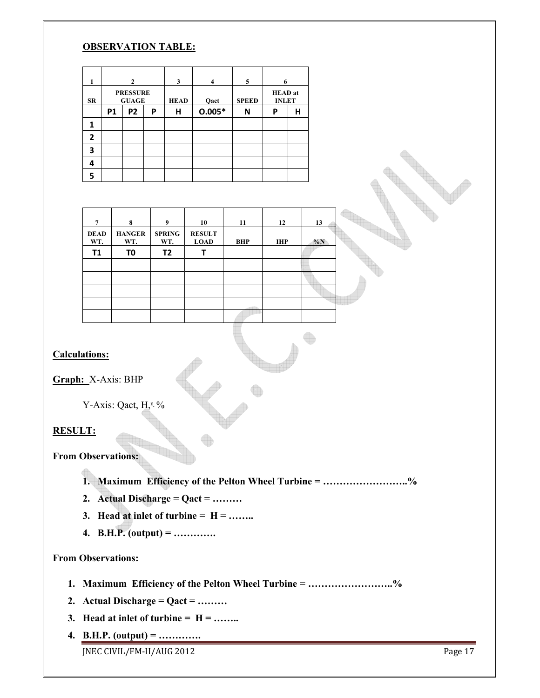# **OBSERVATION TABLE:**

| 1              |                                 | $\mathbf{2}$   |   |             | 4        | 5            | 6                              |   |  |
|----------------|---------------------------------|----------------|---|-------------|----------|--------------|--------------------------------|---|--|
| SR             | <b>PRESSURE</b><br><b>GUAGE</b> |                |   | <b>HEAD</b> | Qact     | <b>SPEED</b> | <b>HEAD</b> at<br><b>INLET</b> |   |  |
|                | P <sub>1</sub>                  | P <sub>2</sub> | P | н           | $0.005*$ | N            | P                              | н |  |
| 1              |                                 |                |   |             |          |              |                                |   |  |
| $\overline{2}$ |                                 |                |   |             |          |              |                                |   |  |
| 3              |                                 |                |   |             |          |              |                                |   |  |
| 4              |                                 |                |   |             |          |              |                                |   |  |
|                |                                 |                |   |             |          |              |                                |   |  |

| 7                  | 8                    | 9                    | 10                           | 11         | 12         | 13    |
|--------------------|----------------------|----------------------|------------------------------|------------|------------|-------|
| <b>DEAD</b><br>WT. | <b>HANGER</b><br>WT. | <b>SPRING</b><br>WT. | <b>RESULT</b><br><b>LOAD</b> | <b>BHP</b> | <b>IHP</b> | $\%N$ |
| <b>T1</b>          | T <sub>0</sub>       | T2                   |                              |            |            |       |
|                    |                      |                      |                              |            |            |       |
|                    |                      |                      |                              |            |            |       |
|                    |                      |                      |                              |            |            |       |
|                    |                      |                      |                              |            |            |       |
|                    |                      |                      |                              |            |            |       |

# **Calculations:**

**Graph:** X-Axis: BHP

Y-Axis: Qact, H,<sup>n</sup> %

# **RESULT:**

**From Observations:** 

**1. Maximum Efficiency of the Pelton Wheel Turbine = ……………………..%**

- **2. Actual Discharge = Qact = ………**
- **3. Head at inlet of turbine =**  $H =$  **……..**
- **4. B.H.P. (output) = ………….**

# **From Observations:**

- **1. Maximum Efficiency of the Pelton Wheel Turbine = ……………………..%**
- **2. Actual Discharge = Qact = ………**
- **3. Head at inlet of turbine =**  $H =$  **……..**
- **4. B.H.P. (output) = ………….**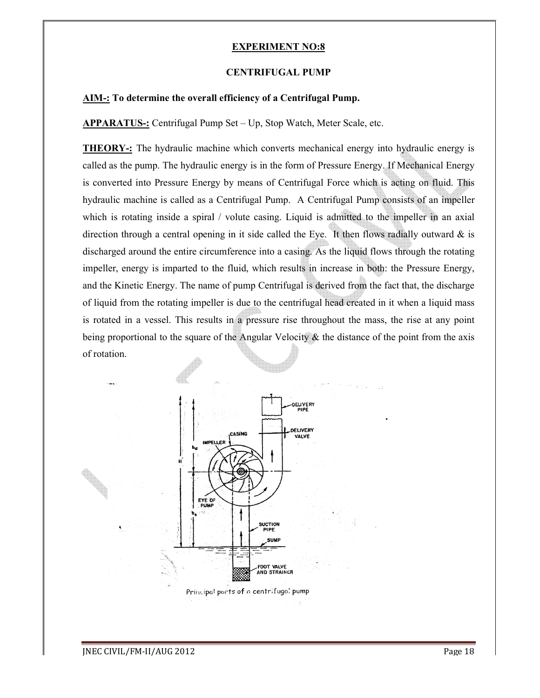#### **CENTRIFUGAL PUMP**

# **AIM-: To determine the overall efficiency of a Centrifugal Pump. of**

**APPARATUS-:** Centrifugal Pump Set – Up, Stop Watch, Meter Scale, etc.

**THEORY-:** The hydraulic machine which converts mechanical energy into hydraulic energy is called as the pump. The hydraulic energy is in the form of Pressure Energy. If Mechanical Energy THEORY-: The hydraulic machine which converts mechanical energy into hydraulic energy is called as the pump. The hydraulic energy is in the form of Pressure Energy. If Mechanical Energy is converted into Pressure Energy by hydraulic machine is called as a Centrifugal Pump. A Centrifugal Pump consists of an impeller which is rotating inside a spiral / volute casing. Liquid is admitted to the impeller in an axial direction through a central opening in it side called the Eye. It then flows radially outward  $\&$  is discharged around the entire circumference into a casing. As the liquid flows through the rotating impeller, energy is imparted to the fluid, which results in increase in both: the Pressure Energy, and the Kinetic Energy. The name of pump Centrifugal is derived from the fact that, the discharge of liquid from the rotating impeller is due to the centrifugal head created in it when a liquid mass is rotated in a vessel. This results in a pressure rise throughout the mass, the rise at any point being proportional to the square of the Angular Velocity  $\&$  the distance of the point from the axis of rotation. achine is called as a Centrifugal Pump. A Centrifugal Pump consists of an impating inside a spiral / volute casing. Liquid is admitted to the impeller in an ough a central opening in it side called the Eye. It then flows r impeller is due to the centrifugal is derived from the fact that, the disclement impeller is due to the centrifugal head created in it when a liquid is results in a pressure rise throughout the mass, the rise at any quare be which is acting on fluid. This<br>gal Pump consists of an impeller<br>iitted to the impeller in an axial<br>then flows radially outward  $\&$  is<br>liquid flows through the rotating<br>sue in both: the Pressure Energy,

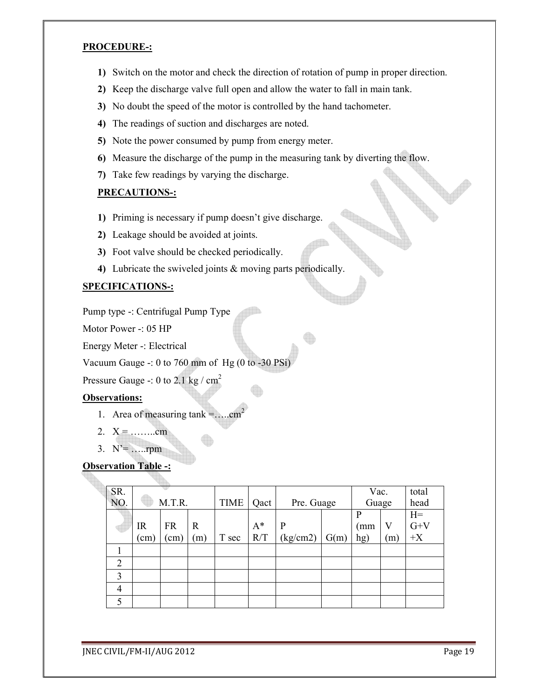#### **PROCEDURE-:**

- **1)** Switch on the motor and check the direction of rotation of pump in proper direction.
- **2)** Keep the discharge valve full open and allow the water to fall in main tank.
- **3)** No doubt the speed of the motor is controlled by the hand tachometer.
- **4)** The readings of suction and discharges are noted.
- **5)** Note the power consumed by pump from energy meter.
- **6)** Measure the discharge of the pump in the measuring tank by diverting the flow.
- **7)** Take few readings by varying the discharge.

# **PRECAUTIONS-:**

- **1)** Priming is necessary if pump doesn't give discharge.
- **2)** Leakage should be avoided at joints.
- **3)** Foot valve should be checked periodically.
- **4)** Lubricate the swiveled joints & moving parts periodically.

# **SPECIFICATIONS-:**

Pump type -: Centrifugal Pump Type

Motor Power -: 05 HP

Energy Meter -: Electrical

Vacuum Gauge -: 0 to 760 mm of Hg (0 to -30 PSi)

Pressure Gauge -: 0 to 2.1 kg /  $cm<sup>2</sup>$ 

# **Observations:**

- 1. Area of measuring tank =..... $cm<sup>2</sup>$
- 2.  $X =$  ……....cm
- 3. N'= …..rpm

# **Observation Table -:**

| SR.            |               |               |             |       |            |          |       | Vac. |              | total |  |
|----------------|---------------|---------------|-------------|-------|------------|----------|-------|------|--------------|-------|--|
| NO.            | M.T.R.        |               | <b>TIME</b> | Qact  | Pre. Guage |          | Guage |      | head         |       |  |
|                |               |               |             |       |            |          |       | P    |              | $H=$  |  |
|                | <b>IR</b>     | <b>FR</b>     | $\mathbf R$ |       | $A^*$      | P        |       | (mm  | V            | $G+V$ |  |
|                | $\text{cm}$ ) | $\text{cm}$ ) | (m)         | T sec | R/T        | (kg/cm2) | G(m)  | hg)  | $\mathbf{m}$ | $+X$  |  |
|                |               |               |             |       |            |          |       |      |              |       |  |
| $\overline{2}$ |               |               |             |       |            |          |       |      |              |       |  |
| 3              |               |               |             |       |            |          |       |      |              |       |  |
| 4              |               |               |             |       |            |          |       |      |              |       |  |
|                |               |               |             |       |            |          |       |      |              |       |  |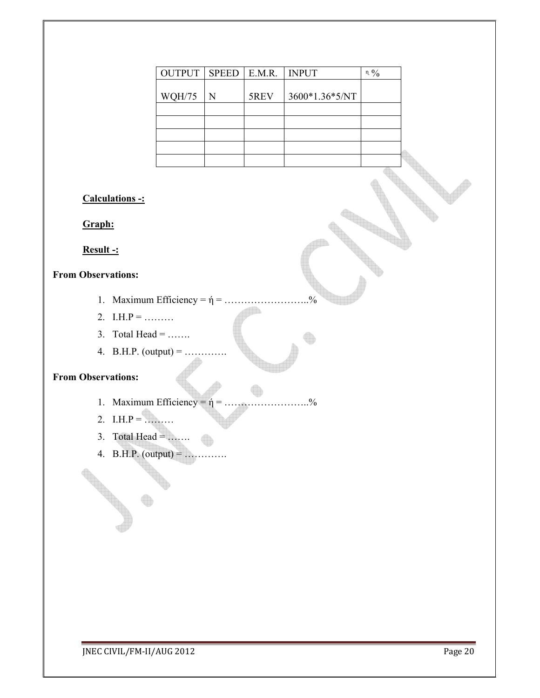|                                  | <b>OUTPUT</b>                          | <b>SPEED</b> | $\mathbf{E}.\mathbf{M}.\mathbf{R}.$ | <b>INPUT</b>   | $\mathfrak n$ $\mathfrak Y_0$ |
|----------------------------------|----------------------------------------|--------------|-------------------------------------|----------------|-------------------------------|
|                                  | <b>WQH/75</b>                          | ${\bf N}$    | 5REV                                | 3600*1.36*5/NT |                               |
|                                  |                                        |              |                                     |                |                               |
|                                  |                                        |              |                                     |                |                               |
|                                  |                                        |              |                                     |                |                               |
|                                  |                                        |              |                                     |                |                               |
| <b>Calculations -:</b><br>Graph: |                                        |              |                                     |                |                               |
| Result -:                        |                                        |              |                                     |                |                               |
| <b>From Observations:</b>        |                                        |              |                                     |                |                               |
|                                  |                                        |              |                                     | $\frac{0}{6}$  |                               |
| 2. I.H.P =                       |                                        |              |                                     |                |                               |
| 3. Total Head =                  |                                        |              |                                     |                |                               |
|                                  | 4. B.H.P. (output) =                   |              |                                     |                |                               |
| <b>From Observations:</b>        |                                        |              |                                     |                |                               |
|                                  |                                        |              |                                     |                |                               |
|                                  | 1. Maximum Efficiency = $\hat{\eta}$ = |              |                                     | $^{0}_{0}$     |                               |
| 2. I.H.P =                       |                                        |              |                                     |                |                               |
| 3. Total Head =                  |                                        |              |                                     |                |                               |
|                                  | 4. B.H.P. (output) =                   |              |                                     |                |                               |
|                                  |                                        |              |                                     |                |                               |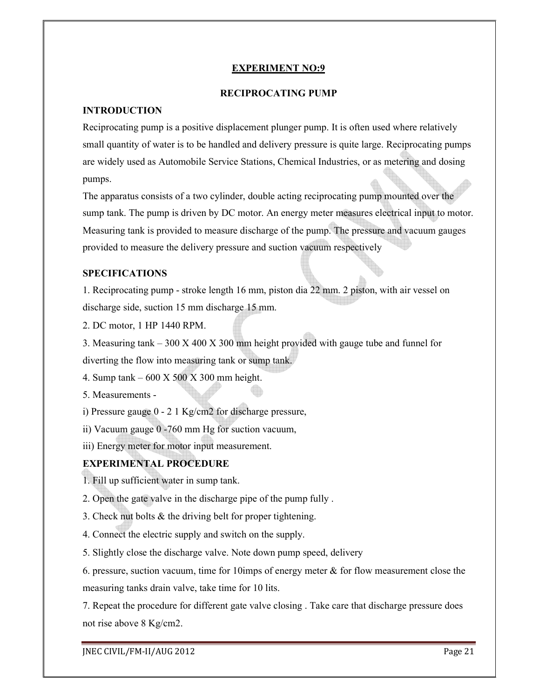#### **RECIPROCATING PUMP**

### **INTRODUCTION**

Reciprocating pump is a positive displacement plunger pump. It is often used where relatively small quantity of water is to be handled and delivery pressure is quite large. Reciprocating pumps are widely used as Automobile Service Stations, Chemical Industries, or as metering and dosing pumps.

The apparatus consists of a two cylinder, double acting reciprocating pump mounted over the sump tank. The pump is driven by DC motor. An energy meter measures electrical input to motor. Measuring tank is provided to measure discharge of the pump. The pressure and vacuum gauges provided to measure the delivery pressure and suction vacuum respectively

# **SPECIFICATIONS**

1. Reciprocating pump - stroke length 16 mm, piston dia 22 mm. 2 piston, with air vessel on discharge side, suction 15 mm discharge 15 mm.

2. DC motor, 1 HP 1440 RPM.

3. Measuring tank – 300 X 400 X 300 mm height provided with gauge tube and funnel for diverting the flow into measuring tank or sump tank.

4. Sump tank – 600 X 500 X 300 mm height.

5. Measurements -

i) Pressure gauge 0 - 2 1 Kg/cm2 for discharge pressure,

ii) Vacuum gauge 0 -760 mm Hg for suction vacuum,

iii) Energy meter for motor input measurement.

# **EXPERIMENTAL PROCEDURE**

1. Fill up sufficient water in sump tank.

- 2. Open the gate valve in the discharge pipe of the pump fully .
- 3. Check nut bolts & the driving belt for proper tightening.
- 4. Connect the electric supply and switch on the supply.

5. Slightly close the discharge valve. Note down pump speed, delivery

6. pressure, suction vacuum, time for 10 imps of energy meter  $\&$  for flow measurement close the measuring tanks drain valve, take time for 10 lits.

7. Repeat the procedure for different gate valve closing . Take care that discharge pressure does not rise above 8 Kg/cm2.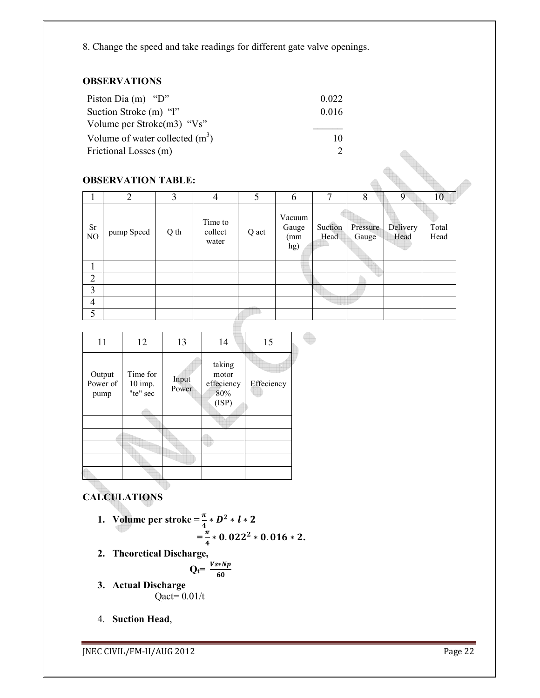8. Change the speed and take readings for different gate valve openings.

# **OBSERVATIONS**

| Piston Dia $(m)$ "D"              | 0.022 |
|-----------------------------------|-------|
| Suction Stroke (m) "l"            | 0.016 |
| Volume per Stroke $(m3)$ "Vs"     |       |
| Volume of water collected $(m^3)$ | 10    |
| Frictional Losses (m)             |       |

# **OBSERVATION TABLE:**

| <b>FIICHOILAL LOSSES</b> (III) |                           |      |                             |       |                                | $\overline{2}$  |                   |                  |               |  |
|--------------------------------|---------------------------|------|-----------------------------|-------|--------------------------------|-----------------|-------------------|------------------|---------------|--|
|                                | <b>OBSERVATION TABLE:</b> |      |                             |       |                                |                 |                   |                  |               |  |
| 1                              | $\overline{2}$            | 3    | $\overline{4}$              | 5     | 6                              | 7               | 8                 | 9                | 10            |  |
| <b>Sr</b><br>N <sub>O</sub>    | pump Speed                | Q th | Time to<br>collect<br>water | Q act | Vacuum<br>Gauge<br>(mm)<br>hg) | Suction<br>Head | Pressure<br>Gauge | Delivery<br>Head | Total<br>Head |  |
| 1                              |                           |      |                             |       |                                |                 |                   |                  |               |  |
| $\overline{2}$                 |                           |      |                             |       |                                |                 |                   |                  |               |  |
| 3                              |                           |      |                             |       |                                |                 |                   |                  |               |  |
| $\overline{4}$                 |                           |      |                             |       |                                |                 |                   |                  |               |  |
| 5                              |                           |      |                             |       |                                |                 |                   |                  |               |  |
|                                |                           |      |                             |       |                                |                 |                   |                  |               |  |

| 11                         | 12                              | 13             | 14                                            | 15         |  |
|----------------------------|---------------------------------|----------------|-----------------------------------------------|------------|--|
| Output<br>Power of<br>pump | Time for<br>10 imp.<br>"te" sec | Input<br>Power | taking<br>motor<br>effeciency<br>80%<br>(ISP) | Effeciency |  |
|                            |                                 |                |                                               |            |  |
|                            |                                 |                |                                               |            |  |
|                            |                                 |                |                                               |            |  |
|                            |                                 |                |                                               |            |  |
|                            |                                 |                |                                               |            |  |
|                            |                                 |                |                                               |            |  |

# **CALCULATIONS**

- **1.** Volume per stroke =  $\frac{\pi}{4} * D^2 * l * 2$  $=\frac{\pi}{4}$  $\frac{\pi}{4} * 0.022^2 * 0.016 * 2.$
- **2. Theoretical Discharge,**

$$
Q_t = \frac{V s * N p}{60}
$$

- **3. Actual Discharge**   $Q$ act=  $0.01/t$
- 4. **Suction Head**,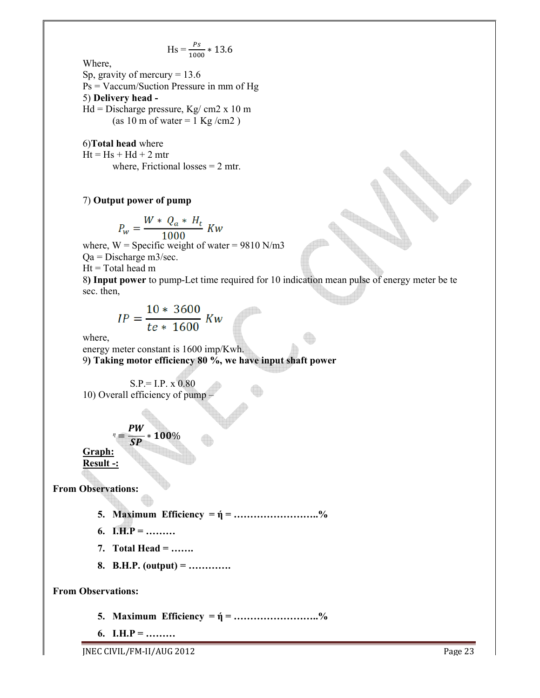$$
Hs = \frac{Ps}{1000} * 13.6
$$

Where,

Sp, gravity of mercury  $= 13.6$ Ps = Vaccum/Suction Pressure in mm of Hg 5) **Delivery head -**  $Hd = Discharge pressure, Kg/cm2 x 10 m$ (as 10 m of water =  $1$  Kg/cm2)

6)**Total head** where  $Ht = Hs + Hd + 2 mtr$ where, Frictional losses  $= 2$  mtr.

#### 7) **Output power of pump**

$$
P_w = \frac{W * Q_a * H_t}{1000} Kw
$$

1000 where,  $W =$  Specific weight of water = 9810 N/m3

Qa = Discharge m3/sec.

 $Ht = Total head m$ 

8**) Input power** to pump-Let time required for 10 indication mean pulse of energy meter be te sec. then,

$$
IP = \frac{10 * 3600}{te * 1600} \; Kw
$$

where,

energy meter constant is 1600 imp/Kwh. 9**) Taking motor efficiency 80 %, we have input shaft power**

 $S.P. = I.P. x 0.80$ 10) Overall efficiency of pump –

 $n \equiv$ PW  $\frac{m}{SP} * 100\%$ **Graph: Result -:** 

**From Observations:** 

- **5. Maximum Efficiency = ή = ……………………..%**
- **6. I.H.P = ………**
- **7. Total Head = …….**
- **8. B.H.P. (output) = ………….**

**From Observations:** 

- **5. Maximum Efficiency = ή = ……………………..%**
- **6. I.H.P = ………**